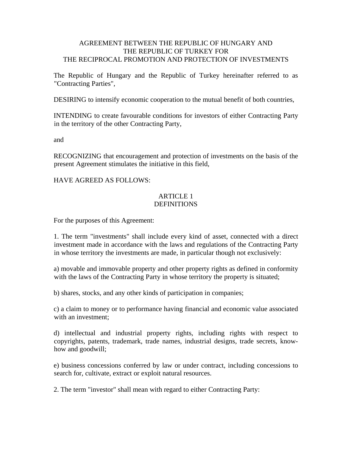# AGREEMENT BETWEEN THE REPUBLIC OF HUNGARY AND THE REPUBLIC OF TURKEY FOR THE RECIPROCAL PROMOTION AND PROTECTION OF INVESTMENTS

The Republic of Hungary and the Republic of Turkey hereinafter referred to as "Contracting Parties",

DESIRING to intensify economic cooperation to the mutual benefit of both countries,

INTENDING to create favourable conditions for investors of either Contracting Party in the territory of the other Contracting Party,

and

RECOGNIZING that encouragement and protection of investments on the basis of the present Agreement stimulates the initiative in this field,

HAVE AGREED AS FOLLOWS:

# ARTICLE 1 **DEFINITIONS**

For the purposes of this Agreement:

1. The term "investments" shall include every kind of asset, connected with a direct investment made in accordance with the laws and regulations of the Contracting Party in whose territory the investments are made, in particular though not exclusively:

a) movable and immovable property and other property rights as defined in conformity with the laws of the Contracting Party in whose territory the property is situated;

b) shares, stocks, and any other kinds of participation in companies;

c) a claim to money or to performance having financial and economic value associated with an investment;

d) intellectual and industrial property rights, including rights with respect to copyrights, patents, trademark, trade names, industrial designs, trade secrets, knowhow and goodwill;

e) business concessions conferred by law or under contract, including concessions to search for, cultivate, extract or exploit natural resources.

2. The term "investor" shall mean with regard to either Contracting Party: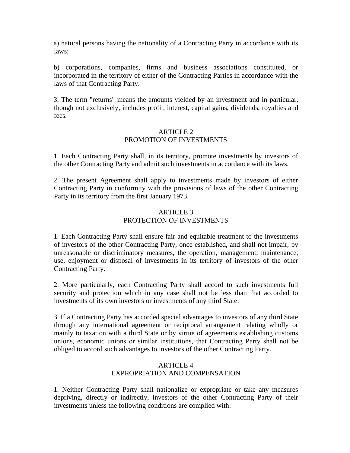a) natural persons having the nationality of a Contracting Party in accordance with its laws;

b) corporations, companies, firms and business associations constituted, or incorporated in the territory of either of the Contracting Parties in accordance with the laws of that Contracting Party.

3. The term "returns" means the amounts yielded by an investment and in particular, though not exclusively, includes profit, interest, capital gains, dividends, royalties and fees.

### ARTICLE 2 PROMOTION OF INVESTMENTS

1. Each Contracting Party shall, in its territory, promote investments by investors of the other Contracting Party and admit such investments in accordance with its laws.

2. The present Agreement shall apply to investments made by investors of either Contracting Party in conformity with the provisions of laws of the other Contracting Party in its territory from the first January 1973.

# ARTICLE<sub>3</sub> PROTECTION OF INVESTMENTS

1. Each Contracting Party shall ensure fair and equitable treatment to the investments of investors of the other Contracting Party, once established, and shall not impair, by unreasonable or discriminatory measures, the operation, management, maintenance, use, enjoyment or disposal of investments in its territory of investors of the other Contracting Party.

2. More particularly, each Contracting Party shall accord to such investments full security and protection which in any case shall not be less than that accorded to investments of its own investors or investments of any third State.

3. If a Contracting Party has accorded special advantages to investors of any third State through any international agreement or reciprocal arrangement relating wholly or mainly to taxation with a third State or by virtue of agreements establishing customs unions, economic unions or similar institutions, that Contracting Party shall not be obliged to accord such advantages to investors of the other Contracting Party.

# ARTICLE 4 EXPROPRIATION AND COMPENSATION

1. Neither Contracting Party shall nationalize or expropriate or take any measures depriving, directly or indirectly, investors of the other Contracting Party of their investments unless the following conditions are complied with: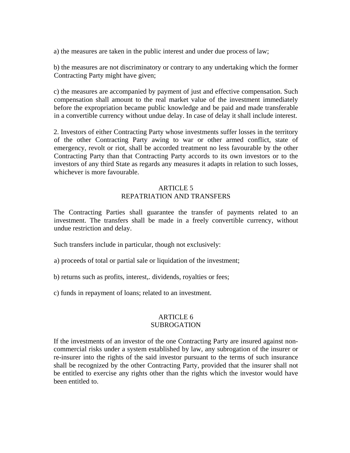a) the measures are taken in the public interest and under due process of law;

b) the measures are not discriminatory or contrary to any undertaking which the former Contracting Party might have given;

c) the measures are accompanied by payment of just and effective compensation. Such compensation shall amount to the real market value of the investment immediately before the expropriation became public knowledge and be paid and made transferable in a convertible currency without undue delay. In case of delay it shall include interest.

2. Investors of either Contracting Party whose investments suffer losses in the territory of the other Contracting Party awing to war or other armed conflict, state of emergency, revolt or riot, shall be accorded treatment no less favourable by the other Contracting Party than that Contracting Party accords to its own investors or to the investors of any third State as regards any measures it adapts in relation to such losses, whichever is more favourable.

# ARTICLE 5 REPATRIATION AND TRANSFERS

The Contracting Parties shall guarantee the transfer of payments related to an investment. The transfers shall be made in a freely convertible currency, without undue restriction and delay.

Such transfers include in particular, though not exclusively:

- a) proceeds of total or partial sale or liquidation of the investment;
- b) returns such as profits, interest,. dividends, royalties or fees;
- c) funds in repayment of loans; related to an investment.

#### ARTICLE 6 **SUBROGATION**

If the investments of an investor of the one Contracting Party are insured against noncommercial risks under a system established by law, any subrogation of the insurer or re-insurer into the rights of the said investor pursuant to the terms of such insurance shall be recognized by the other Contracting Party, provided that the insurer shall not be entitled to exercise any rights other than the rights which the investor would have been entitled to.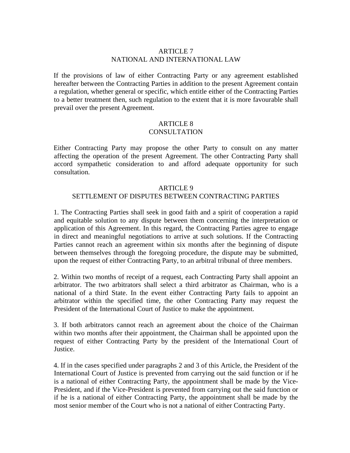### ARTICLE 7 NATIONAL AND INTERNATIONAL LAW

If the provisions of law of either Contracting Party or any agreement established hereafter between the Contracting Parties in addition to the present Agreement contain a regulation, whether general or specific, which entitle either of the Contracting Parties to a better treatment then, such regulation to the extent that it is more favourable shall prevail over the present Agreement.

#### ARTICLE 8 **CONSULTATION**

Either Contracting Party may propose the other Party to consult on any matter affecting the operation of the present Agreement. The other Contracting Party shall accord sympathetic consideration to and afford adequate opportunity for such consultation.

#### ARTICLE 9

#### SETTLEMENT OF DISPUTES BETWEEN CONTRACTING PARTIES

1. The Contracting Parties shall seek in good faith and a spirit of cooperation a rapid and equitable solution to any dispute between them concerning the interpretation or application of this Agreement. In this regard, the Contracting Parties agree to engage in direct and meaningful negotiations to arrive at such solutions. If the Contracting Parties cannot reach an agreement within six months after the beginning of dispute between themselves through the foregoing procedure, the dispute may be submitted, upon the request of either Contracting Party, to an arbitral tribunal of three members.

2. Within two months of receipt of a request, each Contracting Party shall appoint an arbitrator. The two arbitrators shall select a third arbitrator as Chairman, who is a national of a third State. In the event either Contracting Party fails to appoint an arbitrator within the specified time, the other Contracting Party may request the President of the International Court of Justice to make the appointment.

3. If both arbitrators cannot reach an agreement about the choice of the Chairman within two months after their appointment, the Chairman shall be appointed upon the request of either Contracting Party by the president of the International Court of Justice.

4. If in the cases specified under paragraphs 2 and 3 of this Article, the President of the International Court of Justice is prevented from carrying out the said function or if he is a national of either Contracting Party, the appointment shall be made by the Vice-President, and if the Vice-President is prevented from carrying out the said function or if he is a national of either Contracting Party, the appointment shall be made by the most senior member of the Court who is not a national of either Contracting Party.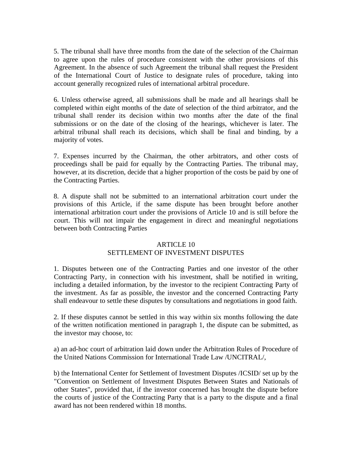5. The tribunal shall have three months from the date of the selection of the Chairman to agree upon the rules of procedure consistent with the other provisions of this Agreement. In the absence of such Agreement the tribunal shall request the President of the International Court of Justice to designate rules of procedure, taking into account generally recognized rules of international arbitral procedure.

6. Unless otherwise agreed, all submissions shall be made and all hearings shall be completed within eight months of the date of selection of the third arbitrator, and the tribunal shall render its decision within two months after the date of the final submissions or on the date of the closing of the hearings, whichever is later. The arbitral tribunal shall reach its decisions, which shall be final and binding, by a majority of votes.

7. Expenses incurred by the Chairman, the other arbitrators, and other costs of proceedings shall be paid for equally by the Contracting Parties. The tribunal may, however, at its discretion, decide that a higher proportion of the costs be paid by one of the Contracting Parties.

8. A dispute shall not be submitted to an international arbitration court under the provisions of this Article, if the same dispute has been brought before another international arbitration court under the provisions of Article 10 and is still before the court. This will not impair the engagement in direct and meaningful negotiations between both Contracting Parties

#### ARTICLE 10

# SETTLEMENT OF INVESTMENT DISPUTES

1. Disputes between one of the Contracting Parties and one investor of the other Contracting Party, in connection with his investment, shall be notified in writing, including a detailed information, by the investor to the recipient Contracting Party of the investment. As far as possible, the investor and the concerned Contracting Party shall endeavour to settle these disputes by consultations and negotiations in good faith.

2. If these disputes cannot be settled in this way within six months following the date of the written notification mentioned in paragraph 1, the dispute can be submitted, as the investor may choose, to:

a) an ad-hoc court of arbitration laid down under the Arbitration Rules of Procedure of the United Nations Commission for International Trade Law /UNCITRAL/,

b) the International Center for Settlement of Investment Disputes /ICSID/ set up by the "Convention on Settlement of Investment Disputes Between States and Nationals of other States", provided that, if the investor concerned has brought the dispute before the courts of justice of the Contracting Party that is a party to the dispute and a final award has not been rendered within 18 months.